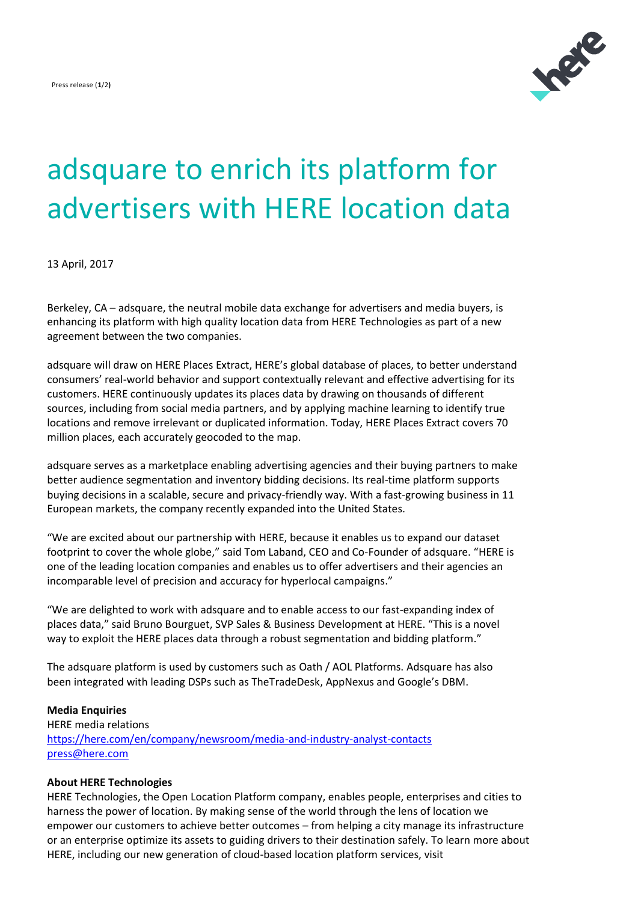

# adsquare to enrich its platform for advertisers with HERE location data

13 April, 2017

Berkeley, CA – adsquare, the neutral mobile data exchange for advertisers and media buyers, is enhancing its platform with high quality location data from HERE Technologies as part of a new agreement between the two companies.

adsquare will draw on HERE Places Extract, HERE's global database of places, to better understand consumers' real-world behavior and support contextually relevant and effective advertising for its customers. HERE continuously updates its places data by drawing on thousands of different sources, including from social media partners, and by applying machine learning to identify true locations and remove irrelevant or duplicated information. Today, HERE Places Extract covers 70 million places, each accurately geocoded to the map.

adsquare serves as a marketplace enabling advertising agencies and their buying partners to make better audience segmentation and inventory bidding decisions. Its real-time platform supports buying decisions in a scalable, secure and privacy-friendly way. With a fast-growing business in 11 European markets, the company recently expanded into the United States.

"We are excited about our partnership with HERE, because it enables us to expand our dataset footprint to cover the whole globe," said Tom Laband, CEO and Co-Founder of adsquare. "HERE is one of the leading location companies and enables us to offer advertisers and their agencies an incomparable level of precision and accuracy for hyperlocal campaigns."

"We are delighted to work with adsquare and to enable access to our fast-expanding index of places data," said Bruno Bourguet, SVP Sales & Business Development at HERE. "This is a novel way to exploit the HERE places data through a robust segmentation and bidding platform."

The adsquare platform is used by customers such as Oath / AOL Platforms. Adsquare has also been integrated with leading DSPs such as TheTradeDesk, AppNexus and Google's DBM.

## **Media Enquiries**

HERE media relations https://here.com/en/company/newsroom/media-and-industry-analyst-contacts [press@here.com](mailto:press@here.com)

## **About HERE Technologies**

HERE Technologies, the Open Location Platform company, enables people, enterprises and cities to harness the power of location. By making sense of the world through the lens of location we empower our customers to achieve better outcomes – from helping a city manage its infrastructure or an enterprise optimize its assets to guiding drivers to their destination safely. To learn more about HERE, including our new generation of cloud-based location platform services, visit